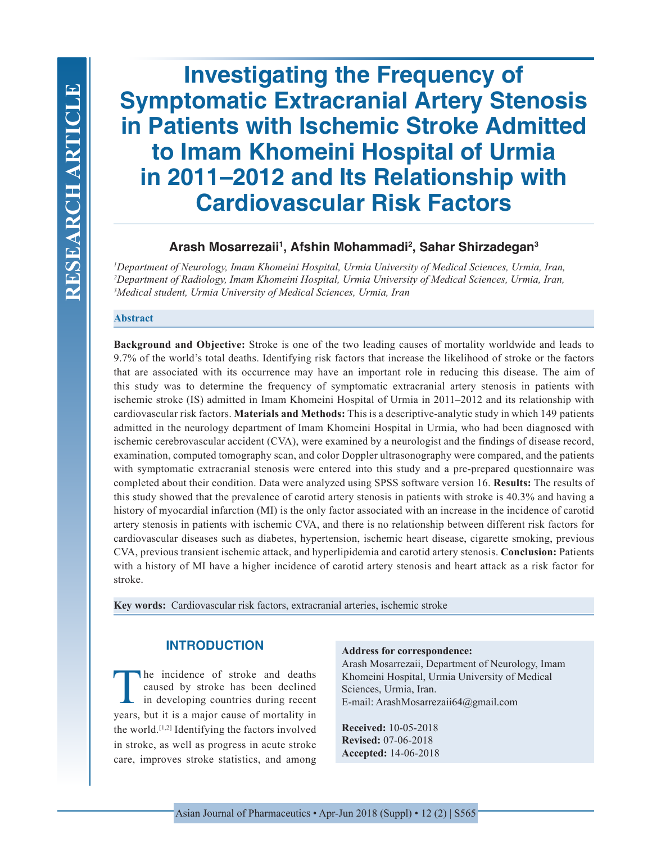# **Investigating the Frequency of Symptomatic Extracranial Artery Stenosis in Patients with Ischemic Stroke Admitted to Imam Khomeini Hospital of Urmia in 2011–2012 and Its Relationship with Cardiovascular Risk Factors**

# **Arash Mosarrezaii1 , Afshin Mohammadi2 , Sahar Shirzadegan3**

*1 Department of Neurology, Imam Khomeini Hospital, Urmia University of Medical Sciences, Urmia, Iran, 2 Department of Radiology, Imam Khomeini Hospital, Urmia University of Medical Sciences, Urmia, Iran, 3 Medical student, Urmia University of Medical Sciences, Urmia, Iran*

## **Abstract**

**Background and Objective:** Stroke is one of the two leading causes of mortality worldwide and leads to 9.7% of the world's total deaths. Identifying risk factors that increase the likelihood of stroke or the factors that are associated with its occurrence may have an important role in reducing this disease. The aim of this study was to determine the frequency of symptomatic extracranial artery stenosis in patients with ischemic stroke (IS) admitted in Imam Khomeini Hospital of Urmia in 2011–2012 and its relationship with cardiovascular risk factors. **Materials and Methods:** This is a descriptive-analytic study in which 149 patients admitted in the neurology department of Imam Khomeini Hospital in Urmia, who had been diagnosed with ischemic cerebrovascular accident (CVA), were examined by a neurologist and the findings of disease record, examination, computed tomography scan, and color Doppler ultrasonography were compared, and the patients with symptomatic extracranial stenosis were entered into this study and a pre-prepared questionnaire was completed about their condition. Data were analyzed using SPSS software version 16. **Results:** The results of this study showed that the prevalence of carotid artery stenosis in patients with stroke is 40.3% and having a history of myocardial infarction (MI) is the only factor associated with an increase in the incidence of carotid artery stenosis in patients with ischemic CVA, and there is no relationship between different risk factors for cardiovascular diseases such as diabetes, hypertension, ischemic heart disease, cigarette smoking, previous CVA, previous transient ischemic attack, and hyperlipidemia and carotid artery stenosis. **Conclusion:** Patients with a history of MI have a higher incidence of carotid artery stenosis and heart attack as a risk factor for stroke.

**Key words:** Cardiovascular risk factors, extracranial arteries, ischemic stroke

# **INTRODUCTION**

The incidence of stroke and deaths caused by stroke has been declined in developing countries during recent years, but it is a major cause of mortality in the world.[1,2] Identifying the factors involved in stroke, as well as progress in acute stroke care, improves stroke statistics, and among

#### **Address for correspondence:**

Arash Mosarrezaii, Department of Neurology, Imam Khomeini Hospital, Urmia University of Medical Sciences, Urmia, Iran. E-mail: ArashMosarrezaii64@gmail.com

**Received:** 10-05-2018 **Revised:** 07-06-2018 **Accepted:** 14-06-2018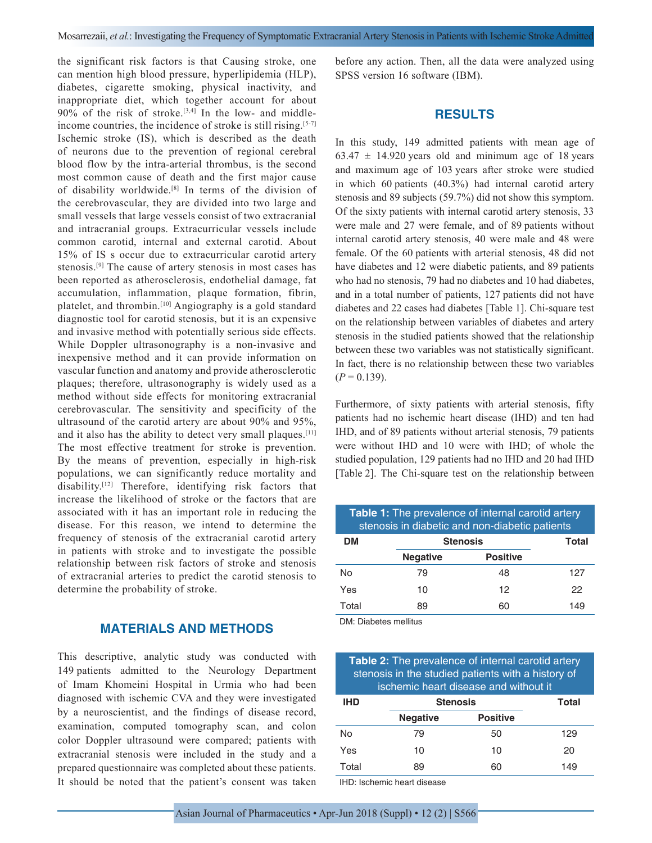the significant risk factors is that Causing stroke, one can mention high blood pressure, hyperlipidemia (HLP), diabetes, cigarette smoking, physical inactivity, and inappropriate diet, which together account for about 90% of the risk of stroke.[3,4] In the low- and middleincome countries, the incidence of stroke is still rising.<sup>[5-7]</sup> Ischemic stroke (IS), which is described as the death of neurons due to the prevention of regional cerebral blood flow by the intra-arterial thrombus, is the second most common cause of death and the first major cause of disability worldwide.[8] In terms of the division of the cerebrovascular, they are divided into two large and small vessels that large vessels consist of two extracranial and intracranial groups. Extracurricular vessels include common carotid, internal and external carotid. About 15% of IS s occur due to extracurricular carotid artery stenosis.[9] The cause of artery stenosis in most cases has been reported as atherosclerosis, endothelial damage, fat accumulation, inflammation, plaque formation, fibrin, platelet, and thrombin.[10] Angiography is a gold standard diagnostic tool for carotid stenosis, but it is an expensive and invasive method with potentially serious side effects. While Doppler ultrasonography is a non-invasive and inexpensive method and it can provide information on vascular function and anatomy and provide atherosclerotic plaques; therefore, ultrasonography is widely used as a method without side effects for monitoring extracranial cerebrovascular. The sensitivity and specificity of the ultrasound of the carotid artery are about 90% and 95%, and it also has the ability to detect very small plaques.[11] The most effective treatment for stroke is prevention. By the means of prevention, especially in high-risk populations, we can significantly reduce mortality and disability.[12] Therefore, identifying risk factors that increase the likelihood of stroke or the factors that are associated with it has an important role in reducing the disease. For this reason, we intend to determine the frequency of stenosis of the extracranial carotid artery in patients with stroke and to investigate the possible relationship between risk factors of stroke and stenosis of extracranial arteries to predict the carotid stenosis to determine the probability of stroke.

# **MATERIALS AND METHODS**

This descriptive, analytic study was conducted with 149 patients admitted to the Neurology Department of Imam Khomeini Hospital in Urmia who had been diagnosed with ischemic CVA and they were investigated by a neuroscientist, and the findings of disease record, examination, computed tomography scan, and colon color Doppler ultrasound were compared; patients with extracranial stenosis were included in the study and a prepared questionnaire was completed about these patients. It should be noted that the patient's consent was taken

before any action. Then, all the data were analyzed using SPSS version 16 software (IBM).

## **RESULTS**

In this study, 149 admitted patients with mean age of  $63.47 \pm 14.920$  years old and minimum age of 18 years and maximum age of 103 years after stroke were studied in which 60 patients (40.3%) had internal carotid artery stenosis and 89 subjects (59.7%) did not show this symptom. Of the sixty patients with internal carotid artery stenosis, 33 were male and 27 were female, and of 89 patients without internal carotid artery stenosis, 40 were male and 48 were female. Of the 60 patients with arterial stenosis, 48 did not have diabetes and 12 were diabetic patients, and 89 patients who had no stenosis, 79 had no diabetes and 10 had diabetes, and in a total number of patients, 127 patients did not have diabetes and 22 cases had diabetes [Table 1]. Chi-square test on the relationship between variables of diabetes and artery stenosis in the studied patients showed that the relationship between these two variables was not statistically significant. In fact, there is no relationship between these two variables  $(P = 0.139)$ .

Furthermore, of sixty patients with arterial stenosis, fifty patients had no ischemic heart disease (IHD) and ten had IHD, and of 89 patients without arterial stenosis, 79 patients were without IHD and 10 were with IHD; of whole the studied population, 129 patients had no IHD and 20 had IHD [Table 2]. The Chi-square test on the relationship between

| <b>Table 1:</b> The prevalence of internal carotid artery<br>stenosis in diabetic and non-diabetic patients |                 |                 |     |
|-------------------------------------------------------------------------------------------------------------|-----------------|-----------------|-----|
| DМ                                                                                                          | <b>Stenosis</b> | Total           |     |
|                                                                                                             | <b>Negative</b> | <b>Positive</b> |     |
| No                                                                                                          | 79              | 48              | 127 |
| Yes                                                                                                         | 10              | 12              | 22  |
| Total                                                                                                       | 89              | 60              | 149 |

DM: Diabetes mellitus

| <b>Table 2:</b> The prevalence of internal carotid artery<br>stenosis in the studied patients with a history of<br>ischemic heart disease and without it |                                                                                                                                                                                                                                      |                 |       |
|----------------------------------------------------------------------------------------------------------------------------------------------------------|--------------------------------------------------------------------------------------------------------------------------------------------------------------------------------------------------------------------------------------|-----------------|-------|
| <b>IHD</b>                                                                                                                                               | <b>Stenosis</b>                                                                                                                                                                                                                      |                 | Total |
|                                                                                                                                                          | <b>Negative</b>                                                                                                                                                                                                                      | <b>Positive</b> |       |
| No                                                                                                                                                       | 79                                                                                                                                                                                                                                   | 50              | 129   |
| Yes                                                                                                                                                      | 10                                                                                                                                                                                                                                   | 10              | 20    |
| Total                                                                                                                                                    | 89                                                                                                                                                                                                                                   | 60              | 149   |
|                                                                                                                                                          | <b>THE REPORT OF A REPORT OF A REPORT OF A REPORT OF A REPORT OF A REPORT OF A REPORT OF A REPORT OF A REPORT OF A REPORT OF A REPORT OF A REPORT OF A REPORT OF A REPORT OF A REPORT OF A REPORT OF A REPORT OF A REPORT OF A R</b> |                 |       |

IHD: Ischemic heart disease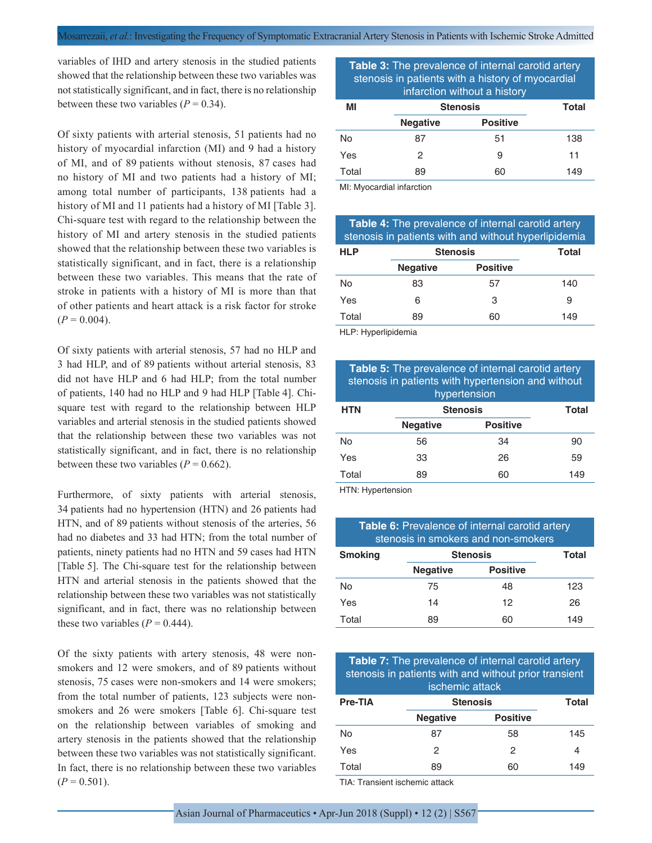variables of IHD and artery stenosis in the studied patients showed that the relationship between these two variables was not statistically significant, and in fact, there is no relationship between these two variables  $(P = 0.34)$ .

Of sixty patients with arterial stenosis, 51 patients had no history of myocardial infarction (MI) and 9 had a history of MI, and of 89 patients without stenosis, 87 cases had no history of MI and two patients had a history of MI; among total number of participants, 138 patients had a history of MI and 11 patients had a history of MI [Table 3]. Chi-square test with regard to the relationship between the history of MI and artery stenosis in the studied patients showed that the relationship between these two variables is statistically significant, and in fact, there is a relationship between these two variables. This means that the rate of stroke in patients with a history of MI is more than that of other patients and heart attack is a risk factor for stroke  $(P = 0.004)$ .

Of sixty patients with arterial stenosis, 57 had no HLP and 3 had HLP, and of 89 patients without arterial stenosis, 83 did not have HLP and 6 had HLP; from the total number of patients, 140 had no HLP and 9 had HLP [Table 4]. Chisquare test with regard to the relationship between HLP variables and arterial stenosis in the studied patients showed that the relationship between these two variables was not statistically significant, and in fact, there is no relationship between these two variables  $(P = 0.662)$ .

Furthermore, of sixty patients with arterial stenosis, 34 patients had no hypertension (HTN) and 26 patients had HTN, and of 89 patients without stenosis of the arteries, 56 had no diabetes and 33 had HTN; from the total number of patients, ninety patients had no HTN and 59 cases had HTN [Table 5]. The Chi-square test for the relationship between HTN and arterial stenosis in the patients showed that the relationship between these two variables was not statistically significant, and in fact, there was no relationship between these two variables  $(P = 0.444)$ .

Of the sixty patients with artery stenosis, 48 were nonsmokers and 12 were smokers, and of 89 patients without stenosis, 75 cases were non-smokers and 14 were smokers; from the total number of patients, 123 subjects were nonsmokers and 26 were smokers [Table 6]. Chi-square test on the relationship between variables of smoking and artery stenosis in the patients showed that the relationship between these two variables was not statistically significant. In fact, there is no relationship between these two variables  $(P = 0.501)$ .

## **Table 3:** The prevalence of internal carotid artery stenosis in patients with a history of myocardial infarction without a history

| ΜI    |                 | <b>Stenosis</b> | Total |
|-------|-----------------|-----------------|-------|
|       | <b>Negative</b> | <b>Positive</b> |       |
| No    | 87              | 51              | 138   |
| Yes   | 2               | 9               | 11    |
| Total | 89              | 60              | 149   |

MI: Myocardial infarction

| <b>Table 4:</b> The prevalence of internal carotid artery<br>stenosis in patients with and without hyperlipidemia |                 |                 |       |
|-------------------------------------------------------------------------------------------------------------------|-----------------|-----------------|-------|
| <b>HLP</b>                                                                                                        | <b>Stenosis</b> |                 | Total |
|                                                                                                                   | <b>Negative</b> | <b>Positive</b> |       |
| No                                                                                                                | 83              | 57              | 140   |
| Yes                                                                                                               | 6               | 3               | 9     |
| Total                                                                                                             | 89              | 60              | 149   |
| $\cdots$ $\cdots$                                                                                                 | .               |                 |       |

HLP: Hyperlipidemia

| Table 5: The prevalence of internal carotid artery<br>stenosis in patients with hypertension and without<br>hypertension |                 |                 |       |
|--------------------------------------------------------------------------------------------------------------------------|-----------------|-----------------|-------|
| <b>HTN</b>                                                                                                               | <b>Stenosis</b> |                 | Total |
|                                                                                                                          | <b>Negative</b> | <b>Positive</b> |       |
| <b>No</b>                                                                                                                | 56              | 34              | 90    |
| Yes                                                                                                                      | 33              | 26              | 59    |
| Total                                                                                                                    | 89              | 60              | 149   |
| $LTN·$ Hyportonoion                                                                                                      |                 |                 |       |

HTN: Hypertension

| <b>Table 6:</b> Prevalence of internal carotid artery<br>stenosis in smokers and non-smokers |                 |                 |       |
|----------------------------------------------------------------------------------------------|-----------------|-----------------|-------|
| <b>Smoking</b>                                                                               | <b>Stenosis</b> |                 | Total |
|                                                                                              | <b>Negative</b> | <b>Positive</b> |       |
| No                                                                                           | 75              | 48              | 123   |
| Yes                                                                                          | 14              | 12              | 26    |
| Total                                                                                        | 89              | 60              | 149   |

**Table 7:** The prevalence of internal carotid artery stenosis in patients with and without prior transient ischemic attack

| <b>Pre-TIA</b> | <b>Stenosis</b> |                 | Total |
|----------------|-----------------|-----------------|-------|
|                | <b>Negative</b> | <b>Positive</b> |       |
| No             | 87              | 58              | 145   |
| Yes            | 2               | 2               | 4     |
| Total          | 89              | 60              | 149   |

TIA: Transient ischemic attack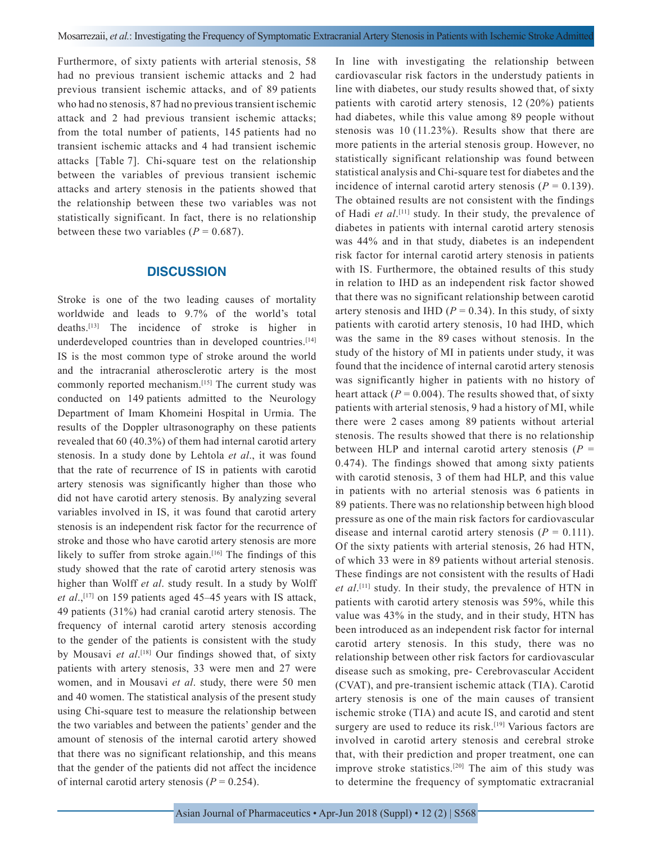Furthermore, of sixty patients with arterial stenosis, 58 had no previous transient ischemic attacks and 2 had previous transient ischemic attacks, and of 89 patients who had no stenosis, 87 had no previous transient ischemic attack and 2 had previous transient ischemic attacks; from the total number of patients, 145 patients had no transient ischemic attacks and 4 had transient ischemic attacks [Table 7]. Chi-square test on the relationship between the variables of previous transient ischemic attacks and artery stenosis in the patients showed that the relationship between these two variables was not statistically significant. In fact, there is no relationship between these two variables  $(P = 0.687)$ .

### **DISCUSSION**

Stroke is one of the two leading causes of mortality worldwide and leads to 9.7% of the world's total deaths.[13] The incidence of stroke is higher in underdeveloped countries than in developed countries.<sup>[14]</sup> IS is the most common type of stroke around the world and the intracranial atherosclerotic artery is the most commonly reported mechanism.[15] The current study was conducted on 149 patients admitted to the Neurology Department of Imam Khomeini Hospital in Urmia. The results of the Doppler ultrasonography on these patients revealed that 60 (40.3%) of them had internal carotid artery stenosis. In a study done by Lehtola *et al*., it was found that the rate of recurrence of IS in patients with carotid artery stenosis was significantly higher than those who did not have carotid artery stenosis. By analyzing several variables involved in IS, it was found that carotid artery stenosis is an independent risk factor for the recurrence of stroke and those who have carotid artery stenosis are more likely to suffer from stroke again.<sup>[16]</sup> The findings of this study showed that the rate of carotid artery stenosis was higher than Wolff *et al*. study result. In a study by Wolff *et al.*,<sup>[17]</sup> on 159 patients aged 45–45 years with IS attack, 49 patients (31%) had cranial carotid artery stenosis. The frequency of internal carotid artery stenosis according to the gender of the patients is consistent with the study by Mousavi *et al*. [18] Our findings showed that, of sixty patients with artery stenosis, 33 were men and 27 were women, and in Mousavi *et al*. study, there were 50 men and 40 women. The statistical analysis of the present study using Chi-square test to measure the relationship between the two variables and between the patients' gender and the amount of stenosis of the internal carotid artery showed that there was no significant relationship, and this means that the gender of the patients did not affect the incidence of internal carotid artery stenosis  $(P = 0.254)$ .

In line with investigating the relationship between cardiovascular risk factors in the understudy patients in line with diabetes, our study results showed that, of sixty patients with carotid artery stenosis, 12 (20%) patients had diabetes, while this value among 89 people without stenosis was 10 (11.23%). Results show that there are more patients in the arterial stenosis group. However, no statistically significant relationship was found between statistical analysis and Chi-square test for diabetes and the incidence of internal carotid artery stenosis  $(P = 0.139)$ . The obtained results are not consistent with the findings of Hadi *et al*. [11] study. In their study, the prevalence of diabetes in patients with internal carotid artery stenosis was 44% and in that study, diabetes is an independent risk factor for internal carotid artery stenosis in patients with IS. Furthermore, the obtained results of this study in relation to IHD as an independent risk factor showed that there was no significant relationship between carotid artery stenosis and IHD  $(P = 0.34)$ . In this study, of sixty patients with carotid artery stenosis, 10 had IHD, which was the same in the 89 cases without stenosis. In the study of the history of MI in patients under study, it was found that the incidence of internal carotid artery stenosis was significantly higher in patients with no history of heart attack  $(P = 0.004)$ . The results showed that, of sixty patients with arterial stenosis, 9 had a history of MI, while there were 2 cases among 89 patients without arterial stenosis. The results showed that there is no relationship between HLP and internal carotid artery stenosis  $(P =$ 0.474). The findings showed that among sixty patients with carotid stenosis, 3 of them had HLP, and this value in patients with no arterial stenosis was 6 patients in 89 patients. There was no relationship between high blood pressure as one of the main risk factors for cardiovascular disease and internal carotid artery stenosis  $(P = 0.111)$ . Of the sixty patients with arterial stenosis, 26 had HTN, of which 33 were in 89 patients without arterial stenosis. These findings are not consistent with the results of Hadi *et al*. [11] study. In their study, the prevalence of HTN in patients with carotid artery stenosis was 59%, while this value was 43% in the study, and in their study, HTN has been introduced as an independent risk factor for internal carotid artery stenosis. In this study, there was no relationship between other risk factors for cardiovascular disease such as smoking, pre- Cerebrovascular Accident (CVAT), and pre-transient ischemic attack (TIA). Carotid artery stenosis is one of the main causes of transient ischemic stroke (TIA) and acute IS, and carotid and stent surgery are used to reduce its risk.<sup>[19]</sup> Various factors are involved in carotid artery stenosis and cerebral stroke that, with their prediction and proper treatment, one can improve stroke statistics.[20] The aim of this study was to determine the frequency of symptomatic extracranial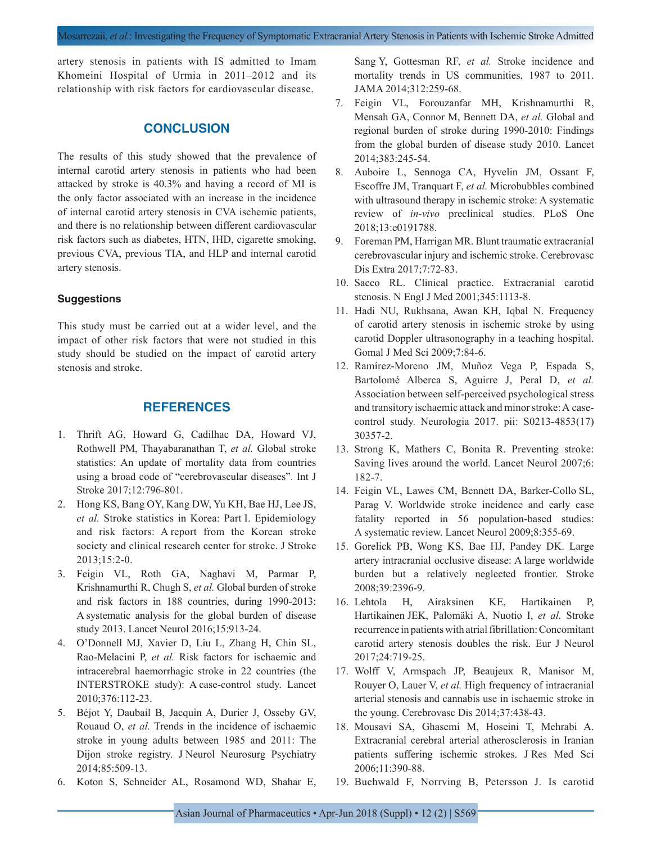artery stenosis in patients with IS admitted to Imam Khomeini Hospital of Urmia in 2011–2012 and its relationship with risk factors for cardiovascular disease.

# **CONCLUSION**

The results of this study showed that the prevalence of internal carotid artery stenosis in patients who had been attacked by stroke is 40.3% and having a record of MI is the only factor associated with an increase in the incidence of internal carotid artery stenosis in CVA ischemic patients, and there is no relationship between different cardiovascular risk factors such as diabetes, HTN, IHD, cigarette smoking, previous CVA, previous TIA, and HLP and internal carotid artery stenosis.

#### **Suggestions**

This study must be carried out at a wider level, and the impact of other risk factors that were not studied in this study should be studied on the impact of carotid artery stenosis and stroke.

### **REFERENCES**

- 1. Thrift AG, Howard G, Cadilhac DA, Howard VJ, Rothwell PM, Thayabaranathan T, *et al.* Global stroke statistics: An update of mortality data from countries using a broad code of "cerebrovascular diseases". Int J Stroke 2017;12:796-801.
- 2. Hong KS, Bang OY, Kang DW, Yu KH, Bae HJ, Lee JS, *et al.* Stroke statistics in Korea: Part I. Epidemiology and risk factors: A report from the Korean stroke society and clinical research center for stroke. J Stroke 2013;15:2-0.
- 3. Feigin VL, Roth GA, Naghavi M, Parmar P, Krishnamurthi R, Chugh S, *et al.* Global burden of stroke and risk factors in 188 countries, during 1990-2013: A systematic analysis for the global burden of disease study 2013. Lancet Neurol 2016;15:913-24.
- 4. O'Donnell MJ, Xavier D, Liu L, Zhang H, Chin SL, Rao-Melacini P, *et al.* Risk factors for ischaemic and intracerebral haemorrhagic stroke in 22 countries (the INTERSTROKE study): A case-control study. Lancet 2010;376:112-23.
- 5. Béjot Y, Daubail B, Jacquin A, Durier J, Osseby GV, Rouaud O, *et al.* Trends in the incidence of ischaemic stroke in young adults between 1985 and 2011: The Dijon stroke registry. J Neurol Neurosurg Psychiatry 2014;85:509-13.
- 6. Koton S, Schneider AL, Rosamond WD, Shahar E,

Sang Y, Gottesman RF, *et al.* Stroke incidence and mortality trends in US communities, 1987 to 2011. JAMA 2014;312:259-68.

- 7. Feigin VL, Forouzanfar MH, Krishnamurthi R, Mensah GA, Connor M, Bennett DA, *et al.* Global and regional burden of stroke during 1990-2010: Findings from the global burden of disease study 2010. Lancet 2014;383:245-54.
- 8. Auboire L, Sennoga CA, Hyvelin JM, Ossant F, Escoffre JM, Tranquart F, *et al.* Microbubbles combined with ultrasound therapy in ischemic stroke: A systematic review of *in-vivo* preclinical studies. PLoS One 2018;13:e0191788.
- 9. Foreman PM, Harrigan MR. Blunt traumatic extracranial cerebrovascular injury and ischemic stroke. Cerebrovasc Dis Extra 2017;7:72-83.
- 10. Sacco RL. Clinical practice. Extracranial carotid stenosis. N Engl J Med 2001;345:1113-8.
- 11. Hadi NU, Rukhsana, Awan KH, Iqbal N. Frequency of carotid artery stenosis in ischemic stroke by using carotid Doppler ultrasonography in a teaching hospital. Gomal J Med Sci 2009;7:84-6.
- 12. Ramírez-Moreno JM, Muñoz Vega P, Espada S, Bartolomé Alberca S, Aguirre J, Peral D, *et al.* Association between self-perceived psychological stress and transitory ischaemic attack and minor stroke: A casecontrol study. Neurologia 2017. pii: S0213-4853(17) 30357-2.
- 13. Strong K, Mathers C, Bonita R. Preventing stroke: Saving lives around the world. Lancet Neurol 2007;6: 182-7.
- 14. Feigin VL, Lawes CM, Bennett DA, Barker-Collo SL, Parag V. Worldwide stroke incidence and early case fatality reported in 56 population-based studies: A systematic review. Lancet Neurol 2009;8:355-69.
- 15. Gorelick PB, Wong KS, Bae HJ, Pandey DK. Large artery intracranial occlusive disease: A large worldwide burden but a relatively neglected frontier. Stroke 2008;39:2396-9.
- 16. Lehtola H, Airaksinen KE, Hartikainen P, Hartikainen JEK, Palomäki A, Nuotio I, *et al.* Stroke recurrence in patients with atrial fibrillation: Concomitant carotid artery stenosis doubles the risk. Eur J Neurol 2017;24:719-25.
- 17. Wolff V, Armspach JP, Beaujeux R, Manisor M, Rouyer O, Lauer V, *et al.* High frequency of intracranial arterial stenosis and cannabis use in ischaemic stroke in the young. Cerebrovasc Dis 2014;37:438-43.
- 18. Mousavi SA, Ghasemi M, Hoseini T, Mehrabi A. Extracranial cerebral arterial atherosclerosis in Iranian patients suffering ischemic strokes. J Res Med Sci 2006;11:390-88.
- 19. Buchwald F, Norrving B, Petersson J. Is carotid